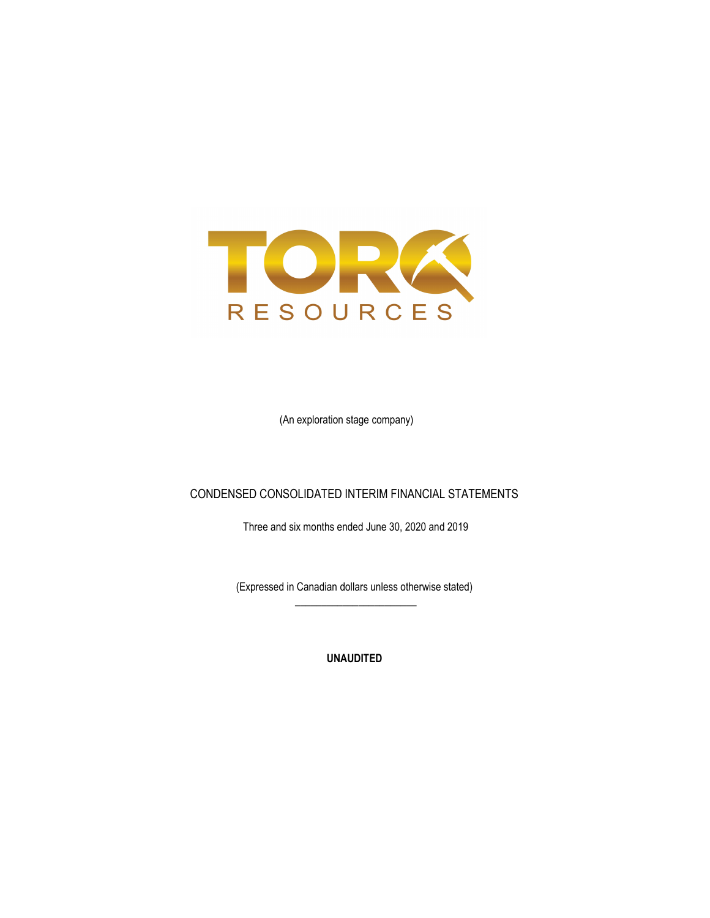

(An exploration stage company)

### CONDENSED CONSOLIDATED INTERIM FINANCIAL STATEMENTS

Three and six months ended June 30, 2020 and 2019

(Expressed in Canadian dollars unless otherwise stated)  $\frac{1}{\sqrt{2\pi}}\left[\frac{1}{\sqrt{2\pi}}\frac{1}{\sqrt{2\pi}}\frac{1}{\sqrt{2\pi}}\frac{1}{\sqrt{2\pi}}\frac{1}{\sqrt{2\pi}}\frac{1}{\sqrt{2\pi}}\frac{1}{\sqrt{2\pi}}\frac{1}{\sqrt{2\pi}}\frac{1}{\sqrt{2\pi}}\frac{1}{\sqrt{2\pi}}\frac{1}{\sqrt{2\pi}}\frac{1}{\sqrt{2\pi}}\frac{1}{\sqrt{2\pi}}\frac{1}{\sqrt{2\pi}}\frac{1}{\sqrt{2\pi}}\frac{1}{\sqrt{2\pi}}\frac{1}{\sqrt{2\pi}}\frac$ 

UNAUDITED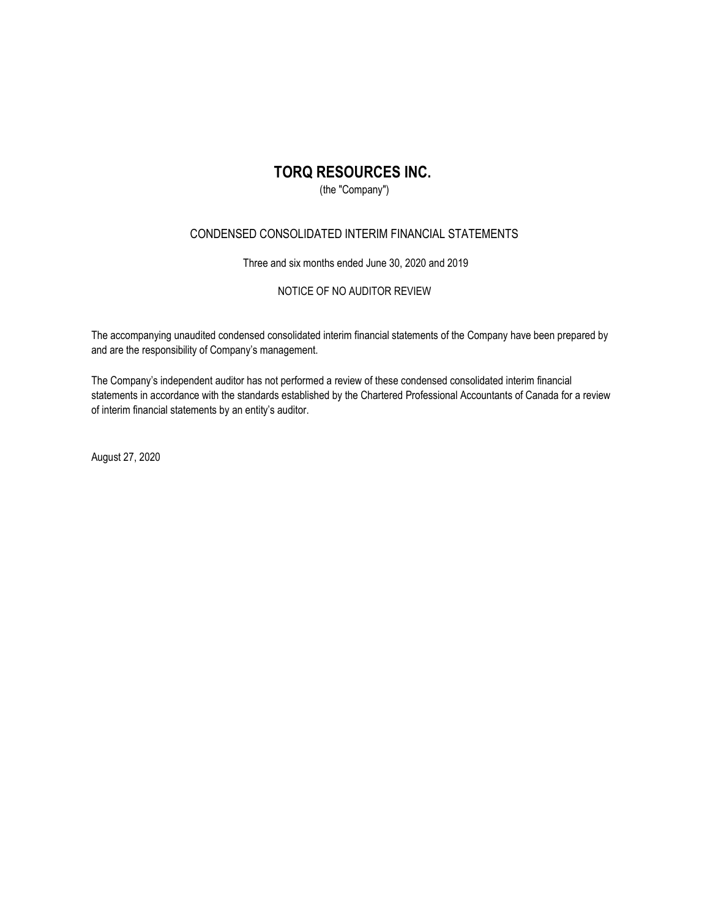(the "Company")

### CONDENSED CONSOLIDATED INTERIM FINANCIAL STATEMENTS

Three and six months ended June 30, 2020 and 2019

### NOTICE OF NO AUDITOR REVIEW

The accompanying unaudited condensed consolidated interim financial statements of the Company have been prepared by and are the responsibility of Company's management.

The Company's independent auditor has not performed a review of these condensed consolidated interim financial statements in accordance with the standards established by the Chartered Professional Accountants of Canada for a review of interim financial statements by an entity's auditor.

August 27, 2020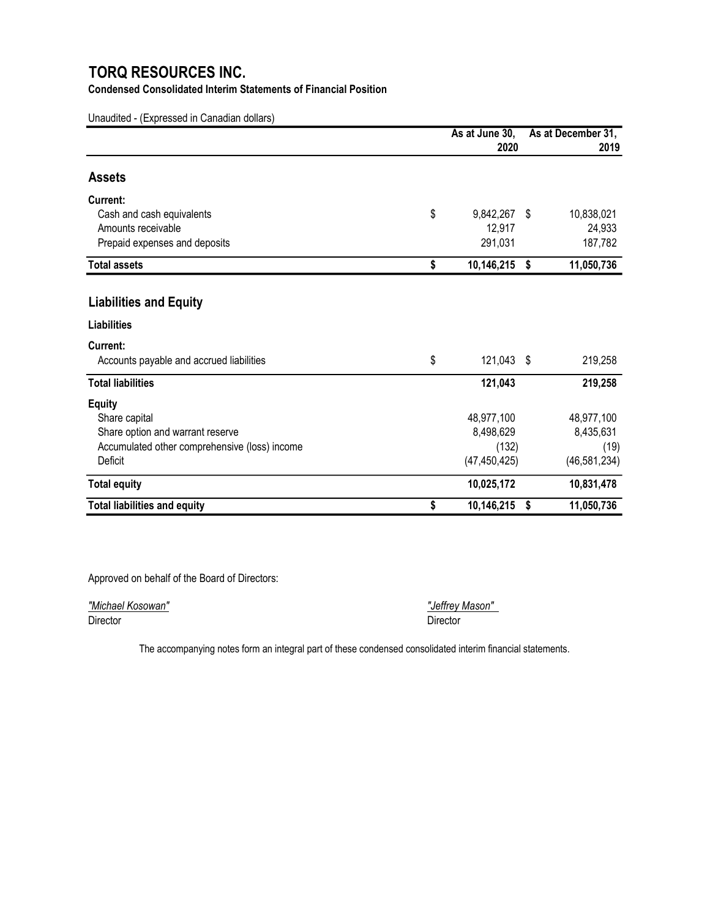### Condensed Consolidated Interim Statements of Financial Position

Unaudited - (Expressed in Canadian dollars)

|                                               | As at June 30,   |      | As at December 31, |  |  |
|-----------------------------------------------|------------------|------|--------------------|--|--|
|                                               | 2020             |      | 2019               |  |  |
| <b>Assets</b>                                 |                  |      |                    |  |  |
| Current:                                      |                  |      |                    |  |  |
| Cash and cash equivalents                     | \$<br>9,842,267  | - \$ | 10,838,021         |  |  |
| Amounts receivable                            | 12,917           |      | 24,933             |  |  |
| Prepaid expenses and deposits                 | 291,031          |      | 187,782            |  |  |
| <b>Total assets</b>                           | \$<br>10,146,215 | \$   | 11,050,736         |  |  |
|                                               |                  |      |                    |  |  |
| <b>Liabilities and Equity</b>                 |                  |      |                    |  |  |
| <b>Liabilities</b>                            |                  |      |                    |  |  |
| Current:                                      |                  |      |                    |  |  |
| Accounts payable and accrued liabilities      | \$<br>121,043 \$ |      | 219,258            |  |  |
| <b>Total liabilities</b>                      | 121,043          |      | 219,258            |  |  |
| <b>Equity</b>                                 |                  |      |                    |  |  |
| Share capital                                 | 48,977,100       |      | 48,977,100         |  |  |
| Share option and warrant reserve              | 8,498,629        |      | 8,435,631          |  |  |
| Accumulated other comprehensive (loss) income | (132)            |      | (19)               |  |  |
| Deficit                                       | (47, 450, 425)   |      | (46, 581, 234)     |  |  |
| <b>Total equity</b>                           | 10,025,172       |      | 10,831,478         |  |  |
| <b>Total liabilities and equity</b>           | \$<br>10,146,215 | \$   | 11,050,736         |  |  |

Approved on behalf of the Board of Directors:

"Michael Kosowan" **"Michael Kosowan"** "Jeffrey Mason"<br>Director "Director" Director Director Director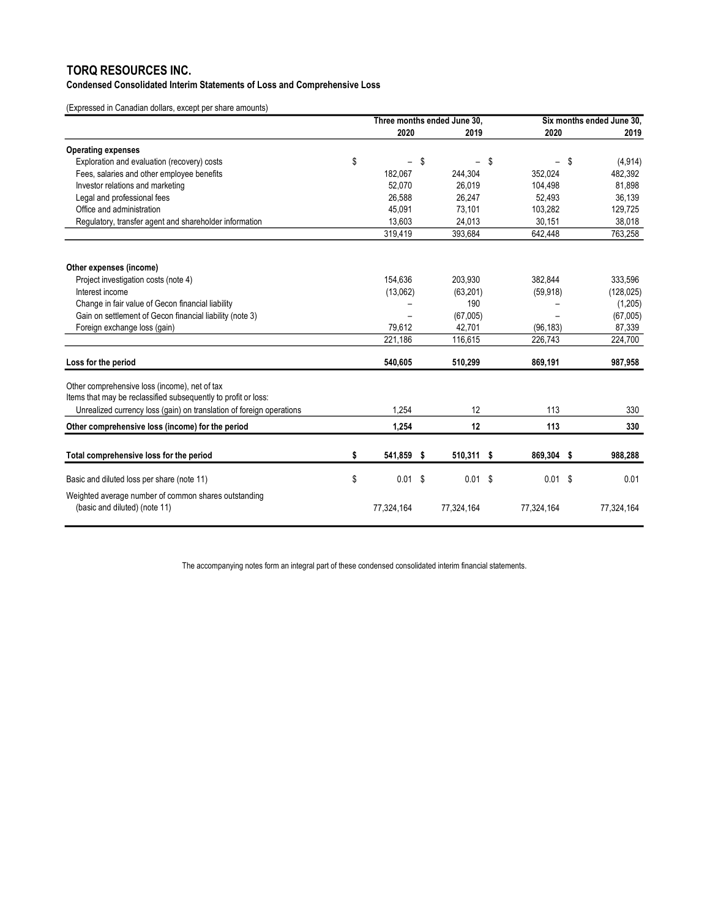### Condensed Consolidated Interim Statements of Loss and Comprehensive Loss

(Expressed in Canadian dollars, except per share amounts)

|                                                                                       | Three months ended June 30,    |   |                   | Six months ended June 30, |     |            |
|---------------------------------------------------------------------------------------|--------------------------------|---|-------------------|---------------------------|-----|------------|
|                                                                                       | 2020                           |   | 2019              | 2020                      |     | 2019       |
| <b>Operating expenses</b>                                                             |                                |   |                   |                           |     |            |
| Exploration and evaluation (recovery) costs                                           | \$<br>$\overline{\phantom{0}}$ | S | $\qquad \qquad -$ | \$<br>-                   | -\$ | (4, 914)   |
| Fees, salaries and other employee benefits                                            | 182,067                        |   | 244,304           | 352,024                   |     | 482,392    |
| Investor relations and marketing                                                      | 52,070                         |   | 26,019            | 104,498                   |     | 81,898     |
| Legal and professional fees                                                           | 26,588                         |   | 26,247            | 52,493                    |     | 36,139     |
| Office and administration                                                             | 45,091                         |   | 73,101            | 103,282                   |     | 129,725    |
| Regulatory, transfer agent and shareholder information                                | 13.603                         |   | 24,013            | 30,151                    |     | 38,018     |
|                                                                                       | 319,419                        |   | 393,684           | 642,448                   |     | 763,258    |
| Other expenses (income)                                                               |                                |   |                   |                           |     |            |
| Project investigation costs (note 4)                                                  | 154.636                        |   | 203,930           | 382,844                   |     | 333,596    |
| Interest income                                                                       | (13,062)                       |   | (63, 201)         | (59, 918)                 |     | (128, 025) |
| Change in fair value of Gecon financial liability                                     |                                |   | 190               |                           |     | (1,205)    |
| Gain on settlement of Gecon financial liability (note 3)                              |                                |   | (67,005)          |                           |     | (67,005)   |
| Foreign exchange loss (gain)                                                          | 79,612                         |   | 42,701            | (96, 183)                 |     | 87,339     |
|                                                                                       | 221,186                        |   | 116,615           | 226,743                   |     | 224,700    |
| Loss for the period                                                                   | 540,605                        |   | 510,299           | 869,191                   |     | 987,958    |
| Other comprehensive loss (income), net of tax                                         |                                |   |                   |                           |     |            |
| Items that may be reclassified subsequently to profit or loss:                        |                                |   |                   |                           |     |            |
| Unrealized currency loss (gain) on translation of foreign operations                  | 1,254                          |   | 12                | 113                       |     | 330        |
| Other comprehensive loss (income) for the period                                      | 1,254                          |   | 12                | 113                       |     | 330        |
| Total comprehensive loss for the period                                               | \$<br>541,859 \$               |   | 510,311 \$        | 869,304 \$                |     | 988,288    |
|                                                                                       |                                |   |                   |                           |     |            |
| Basic and diluted loss per share (note 11)                                            | \$<br>$0.01$ \$                |   | $0.01$ \$         | $0.01$ \$                 |     | 0.01       |
| Weighted average number of common shares outstanding<br>(basic and diluted) (note 11) | 77,324,164                     |   | 77,324,164        | 77,324,164                |     | 77,324,164 |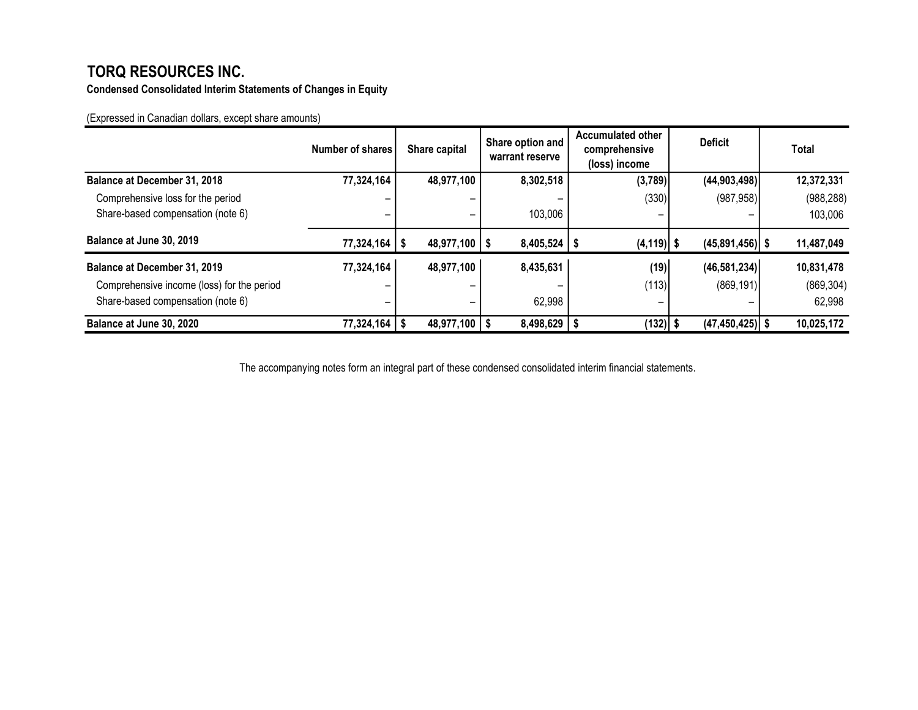Condensed Consolidated Interim Statements of Changes in Equity

(Expressed in Canadian dollars, except share amounts)

|                                            | Number of shares  | Share capital     | Share option and<br>warrant reserve | <b>Accumulated other</b><br>comprehensive<br>(loss) income | <b>Deficit</b>      | Total      |
|--------------------------------------------|-------------------|-------------------|-------------------------------------|------------------------------------------------------------|---------------------|------------|
| <b>Balance at December 31, 2018</b>        | 77,324,164        | 48,977,100        | 8,302,518                           | (3,789)                                                    | (44,903,498)        | 12,372,331 |
| Comprehensive loss for the period          |                   |                   |                                     | (330)                                                      | (987, 958)          | (988, 288) |
| Share-based compensation (note 6)          |                   |                   | 103,006<br>-                        | -                                                          |                     | 103,006    |
| Balance at June 30, 2019                   | $77,324,164$   \$ | $48,977,100$   \$ | $8,405,524$   \$                    | $(4, 119)$ \$                                              | $(45,891,456)$ \$   | 11,487,049 |
| Balance at December 31, 2019               | 77,324,164        | 48,977,100        | 8,435,631                           | (19)                                                       | (46, 581, 234)      | 10,831,478 |
| Comprehensive income (loss) for the period |                   |                   |                                     | (113)                                                      | (869, 191)          | (869, 304) |
| Share-based compensation (note 6)          |                   |                   | 62,998<br>-                         | -                                                          |                     | 62,998     |
| Balance at June 30, 2020                   | 77,324,164        | $48,977,100$   \$ | 8,498,629                           | (132)                                                      | $(47, 450, 425)$ \$ | 10,025,172 |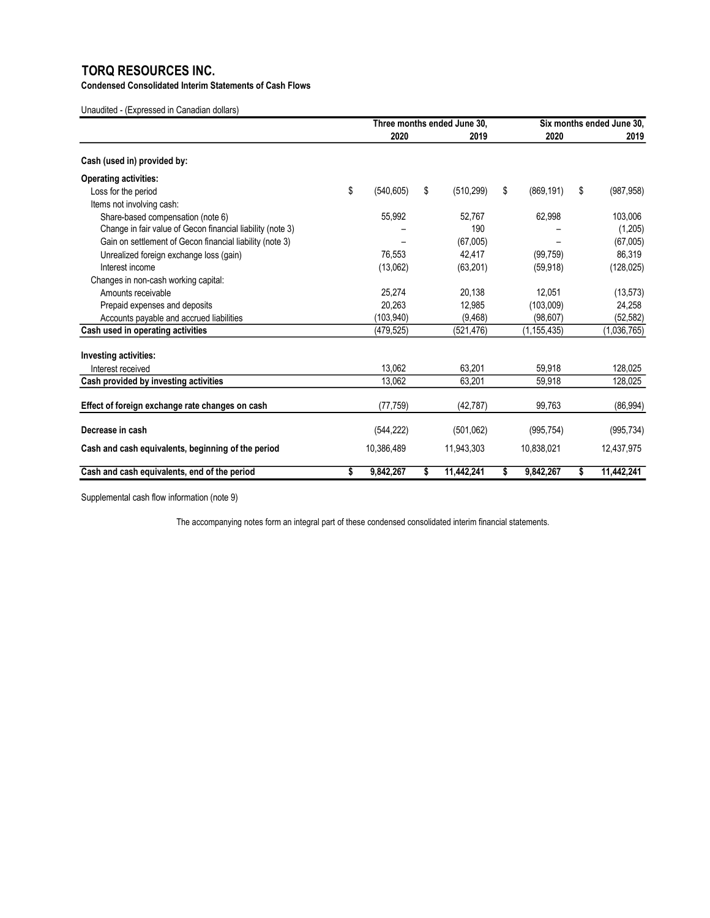Condensed Consolidated Interim Statements of Cash Flows

Unaudited - (Expressed in Canadian dollars)

|                                                            | Three months ended June 30. |    |            |    | Six months ended June 30. |    |             |
|------------------------------------------------------------|-----------------------------|----|------------|----|---------------------------|----|-------------|
|                                                            | 2020                        |    | 2019       |    | 2020                      |    | 2019        |
| Cash (used in) provided by:                                |                             |    |            |    |                           |    |             |
| <b>Operating activities:</b>                               |                             |    |            |    |                           |    |             |
| Loss for the period                                        | \$<br>(540, 605)            | \$ | (510, 299) | \$ | (869, 191)                | \$ | (987, 958)  |
| Items not involving cash:                                  |                             |    |            |    |                           |    |             |
| Share-based compensation (note 6)                          | 55,992                      |    | 52.767     |    | 62,998                    |    | 103,006     |
| Change in fair value of Gecon financial liability (note 3) |                             |    | 190        |    |                           |    | (1,205)     |
| Gain on settlement of Gecon financial liability (note 3)   |                             |    | (67,005)   |    |                           |    | (67,005)    |
| Unrealized foreign exchange loss (gain)                    | 76.553                      |    | 42,417     |    | (99, 759)                 |    | 86,319      |
| Interest income                                            | (13,062)                    |    | (63, 201)  |    | (59, 918)                 |    | (128, 025)  |
| Changes in non-cash working capital:                       |                             |    |            |    |                           |    |             |
| Amounts receivable                                         | 25.274                      |    | 20,138     |    | 12.051                    |    | (13, 573)   |
| Prepaid expenses and deposits                              | 20.263                      |    | 12.985     |    | (103,009)                 |    | 24,258      |
| Accounts payable and accrued liabilities                   | (103,940)                   |    | (9, 468)   |    | (98, 607)                 |    | (52, 582)   |
| Cash used in operating activities                          | (479.525)                   |    | (521, 476) |    | (1, 155, 435)             |    | (1,036,765) |
| Investing activities:                                      |                             |    |            |    |                           |    |             |
| Interest received                                          | 13.062                      |    | 63,201     |    | 59,918                    |    | 128,025     |
| Cash provided by investing activities                      | 13,062                      |    | 63,201     |    | 59,918                    |    | 128,025     |
| Effect of foreign exchange rate changes on cash            | (77, 759)                   |    | (42, 787)  |    | 99,763                    |    | (86, 994)   |
| Decrease in cash                                           | (544, 222)                  |    | (501, 062) |    | (995, 754)                |    | (995, 734)  |
| Cash and cash equivalents, beginning of the period         | 10,386,489                  |    | 11,943,303 |    | 10.838.021                |    | 12,437,975  |
| Cash and cash equivalents, end of the period               | \$<br>9,842,267             | s  | 11,442,241 | s  | 9,842,267                 | \$ | 11,442,241  |

Supplemental cash flow information (note 9)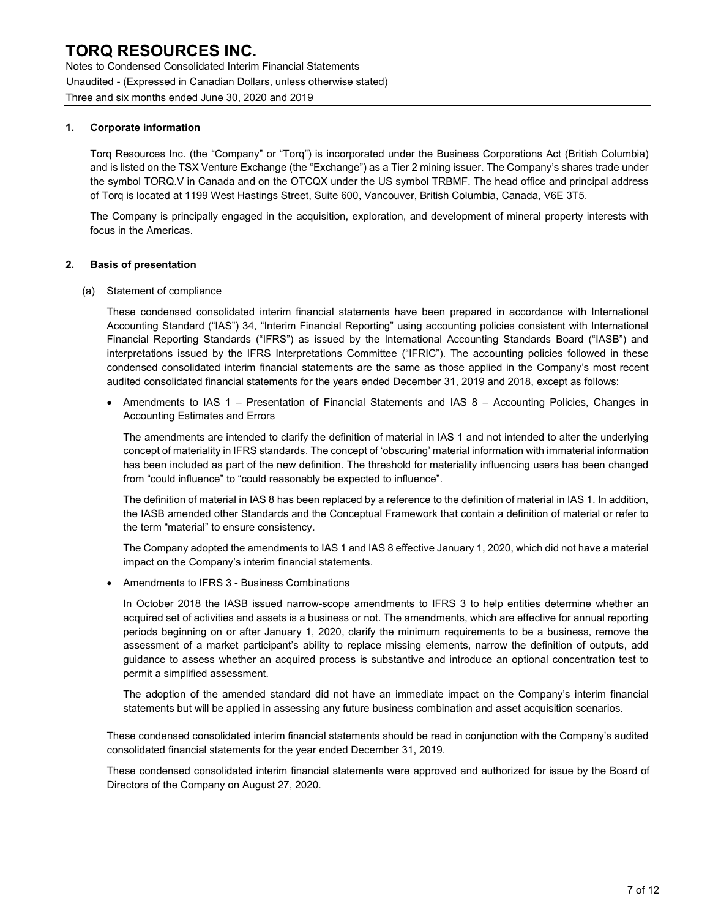Notes to Condensed Consolidated Interim Financial Statements Unaudited - (Expressed in Canadian Dollars, unless otherwise stated) Three and six months ended June 30, 2020 and 2019

### 1. Corporate information

Torq Resources Inc. (the "Company" or "Torq") is incorporated under the Business Corporations Act (British Columbia) and is listed on the TSX Venture Exchange (the "Exchange") as a Tier 2 mining issuer. The Company's shares trade under the symbol TORQ.V in Canada and on the OTCQX under the US symbol TRBMF. The head office and principal address of Torq is located at 1199 West Hastings Street, Suite 600, Vancouver, British Columbia, Canada, V6E 3T5.

The Company is principally engaged in the acquisition, exploration, and development of mineral property interests with focus in the Americas.

### 2. Basis of presentation

(a) Statement of compliance

These condensed consolidated interim financial statements have been prepared in accordance with International Accounting Standard ("IAS") 34, "Interim Financial Reporting" using accounting policies consistent with International Financial Reporting Standards ("IFRS") as issued by the International Accounting Standards Board ("IASB") and interpretations issued by the IFRS Interpretations Committee ("IFRIC"). The accounting policies followed in these condensed consolidated interim financial statements are the same as those applied in the Company's most recent audited consolidated financial statements for the years ended December 31, 2019 and 2018, except as follows:

• Amendments to IAS 1 – Presentation of Financial Statements and IAS 8 – Accounting Policies, Changes in Accounting Estimates and Errors

The amendments are intended to clarify the definition of material in IAS 1 and not intended to alter the underlying concept of materiality in IFRS standards. The concept of 'obscuring' material information with immaterial information has been included as part of the new definition. The threshold for materiality influencing users has been changed from "could influence" to "could reasonably be expected to influence".

The definition of material in IAS 8 has been replaced by a reference to the definition of material in IAS 1. In addition, the IASB amended other Standards and the Conceptual Framework that contain a definition of material or refer to the term "material" to ensure consistency.

The Company adopted the amendments to IAS 1 and IAS 8 effective January 1, 2020, which did not have a material impact on the Company's interim financial statements.

Amendments to IFRS 3 - Business Combinations

In October 2018 the IASB issued narrow-scope amendments to IFRS 3 to help entities determine whether an acquired set of activities and assets is a business or not. The amendments, which are effective for annual reporting periods beginning on or after January 1, 2020, clarify the minimum requirements to be a business, remove the assessment of a market participant's ability to replace missing elements, narrow the definition of outputs, add guidance to assess whether an acquired process is substantive and introduce an optional concentration test to permit a simplified assessment.

The adoption of the amended standard did not have an immediate impact on the Company's interim financial statements but will be applied in assessing any future business combination and asset acquisition scenarios.

These condensed consolidated interim financial statements should be read in conjunction with the Company's audited consolidated financial statements for the year ended December 31, 2019.

These condensed consolidated interim financial statements were approved and authorized for issue by the Board of Directors of the Company on August 27, 2020.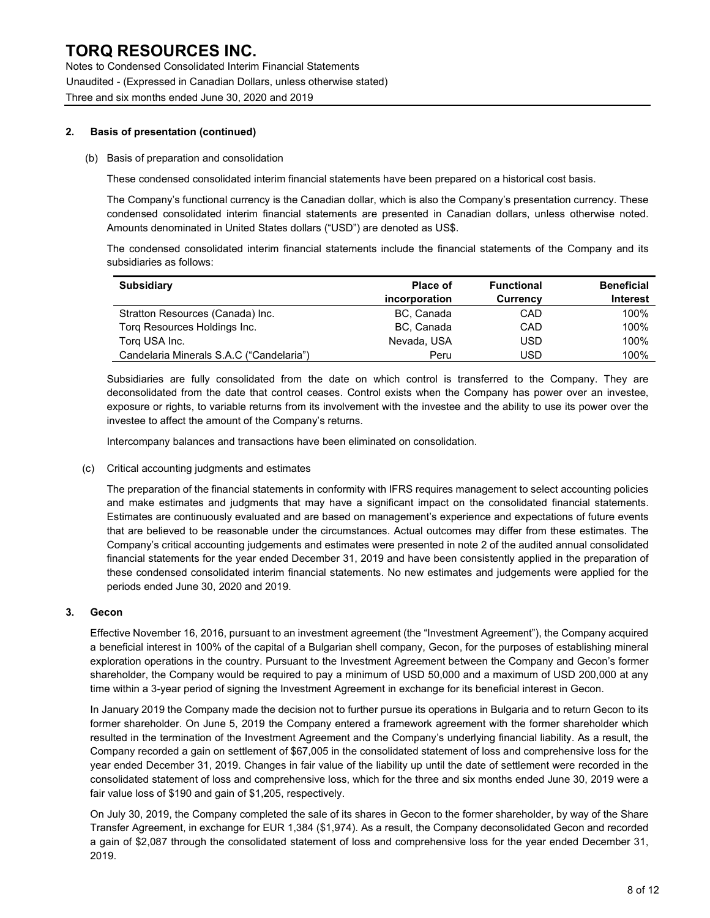Notes to Condensed Consolidated Interim Financial Statements Unaudited - (Expressed in Canadian Dollars, unless otherwise stated) Three and six months ended June 30, 2020 and 2019

#### 2. Basis of presentation (continued)

#### (b) Basis of preparation and consolidation

These condensed consolidated interim financial statements have been prepared on a historical cost basis.

The Company's functional currency is the Canadian dollar, which is also the Company's presentation currency. These condensed consolidated interim financial statements are presented in Canadian dollars, unless otherwise noted. Amounts denominated in United States dollars ("USD") are denoted as US\$.

The condensed consolidated interim financial statements include the financial statements of the Company and its subsidiaries as follows:

| <b>Subsidiary</b>                        | <b>Place of</b> | <b>Functional</b> | <b>Beneficial</b> |
|------------------------------------------|-----------------|-------------------|-------------------|
|                                          | incorporation   | Currency          | <b>Interest</b>   |
| Stratton Resources (Canada) Inc.         | BC, Canada      | CAD               | 100%              |
| Torg Resources Holdings Inc.             | BC, Canada      | CAD               | 100%              |
| Torg USA Inc.                            | Nevada, USA     | USD               | 100%              |
| Candelaria Minerals S.A.C ("Candelaria") | Peru            | USD               | 100%              |

Subsidiaries are fully consolidated from the date on which control is transferred to the Company. They are deconsolidated from the date that control ceases. Control exists when the Company has power over an investee, exposure or rights, to variable returns from its involvement with the investee and the ability to use its power over the investee to affect the amount of the Company's returns.

Intercompany balances and transactions have been eliminated on consolidation.

(c) Critical accounting judgments and estimates

The preparation of the financial statements in conformity with IFRS requires management to select accounting policies and make estimates and judgments that may have a significant impact on the consolidated financial statements. Estimates are continuously evaluated and are based on management's experience and expectations of future events that are believed to be reasonable under the circumstances. Actual outcomes may differ from these estimates. The Company's critical accounting judgements and estimates were presented in note 2 of the audited annual consolidated financial statements for the year ended December 31, 2019 and have been consistently applied in the preparation of these condensed consolidated interim financial statements. No new estimates and judgements were applied for the periods ended June 30, 2020 and 2019.

#### 3. Gecon

Effective November 16, 2016, pursuant to an investment agreement (the "Investment Agreement"), the Company acquired a beneficial interest in 100% of the capital of a Bulgarian shell company, Gecon, for the purposes of establishing mineral exploration operations in the country. Pursuant to the Investment Agreement between the Company and Gecon's former shareholder, the Company would be required to pay a minimum of USD 50,000 and a maximum of USD 200,000 at any time within a 3-year period of signing the Investment Agreement in exchange for its beneficial interest in Gecon.

In January 2019 the Company made the decision not to further pursue its operations in Bulgaria and to return Gecon to its former shareholder. On June 5, 2019 the Company entered a framework agreement with the former shareholder which resulted in the termination of the Investment Agreement and the Company's underlying financial liability. As a result, the Company recorded a gain on settlement of \$67,005 in the consolidated statement of loss and comprehensive loss for the year ended December 31, 2019. Changes in fair value of the liability up until the date of settlement were recorded in the consolidated statement of loss and comprehensive loss, which for the three and six months ended June 30, 2019 were a fair value loss of \$190 and gain of \$1,205, respectively.

On July 30, 2019, the Company completed the sale of its shares in Gecon to the former shareholder, by way of the Share Transfer Agreement, in exchange for EUR 1,384 (\$1,974). As a result, the Company deconsolidated Gecon and recorded a gain of \$2,087 through the consolidated statement of loss and comprehensive loss for the year ended December 31, 2019.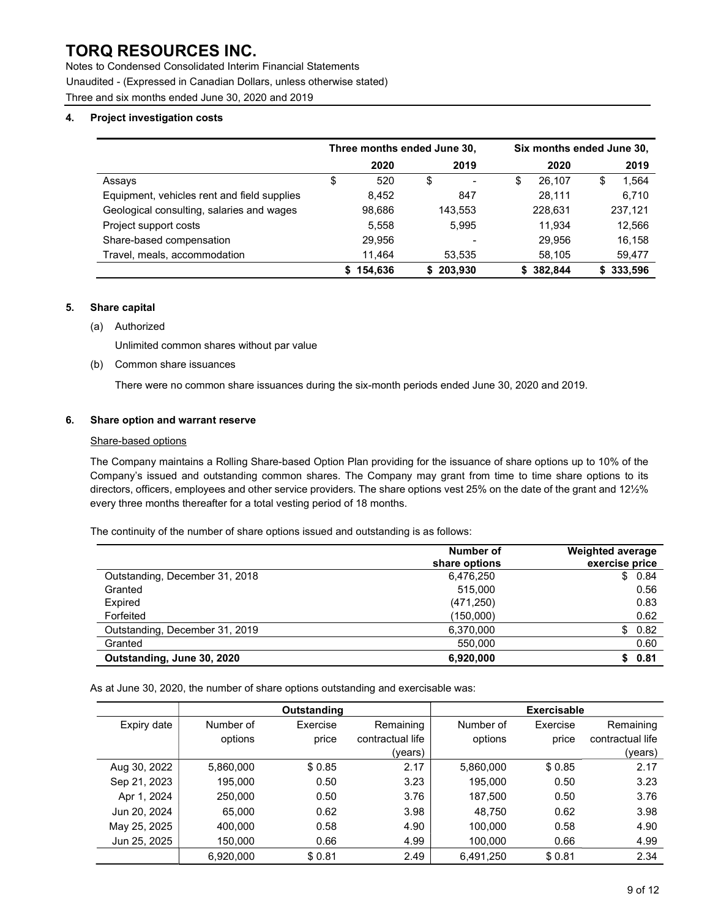Notes to Condensed Consolidated Interim Financial Statements Unaudited - (Expressed in Canadian Dollars, unless otherwise stated) Three and six months ended June 30, 2020 and 2019

### 4. Project investigation costs

|                                             | Three months ended June 30, |         |    |                          | Six months ended June 30, |         |    |         |
|---------------------------------------------|-----------------------------|---------|----|--------------------------|---------------------------|---------|----|---------|
|                                             |                             | 2020    |    | 2019                     |                           | 2020    |    | 2019    |
| Assays                                      | \$                          | 520     | \$ | $\overline{\phantom{a}}$ | \$                        | 26.107  | \$ | 1,564   |
| Equipment, vehicles rent and field supplies |                             | 8,452   |    | 847                      |                           | 28.111  |    | 6,710   |
| Geological consulting, salaries and wages   |                             | 98,686  |    | 143,553                  |                           | 228,631 |    | 237,121 |
| Project support costs                       |                             | 5,558   |    | 5.995                    |                           | 11.934  |    | 12,566  |
| Share-based compensation                    |                             | 29,956  |    | $\overline{\phantom{a}}$ |                           | 29.956  |    | 16,158  |
| Travel, meals, accommodation                |                             | 11,464  |    | 53,535                   |                           | 58,105  |    | 59,477  |
|                                             |                             | 154,636 |    | 203.930                  |                           | 382.844 |    | 333,596 |

#### 5. Share capital

#### (a) Authorized

Unlimited common shares without par value

#### (b) Common share issuances

There were no common share issuances during the six-month periods ended June 30, 2020 and 2019.

#### 6. Share option and warrant reserve

#### Share-based options

The Company maintains a Rolling Share-based Option Plan providing for the issuance of share options up to 10% of the Company's issued and outstanding common shares. The Company may grant from time to time share options to its directors, officers, employees and other service providers. The share options vest 25% on the date of the grant and 12½% every three months thereafter for a total vesting period of 18 months.

The continuity of the number of share options issued and outstanding is as follows:

|                                | Number of<br>share options | <b>Weighted average</b><br>exercise price |
|--------------------------------|----------------------------|-------------------------------------------|
| Outstanding, December 31, 2018 | 6,476,250                  | \$0.84                                    |
| Granted                        | 515,000                    | 0.56                                      |
| Expired                        | (471, 250)                 | 0.83                                      |
| Forfeited                      | (150,000)                  | 0.62                                      |
| Outstanding, December 31, 2019 | 6,370,000                  | \$0.82                                    |
| Granted                        | 550,000                    | 0.60                                      |
| Outstanding, June 30, 2020     | 6.920.000                  | 0.81                                      |

As at June 30, 2020, the number of share options outstanding and exercisable was:

|              | Outstanding |          |                  |           | <b>Exercisable</b> |                  |
|--------------|-------------|----------|------------------|-----------|--------------------|------------------|
| Expiry date  | Number of   | Exercise | Remaining        | Number of | Exercise           | Remaining        |
|              | options     | price    | contractual life | options   | price              | contractual life |
|              |             |          | (vears)          |           |                    | (years)          |
| Aug 30, 2022 | 5,860,000   | \$0.85   | 2.17             | 5,860,000 | \$0.85             | 2.17             |
| Sep 21, 2023 | 195.000     | 0.50     | 3.23             | 195.000   | 0.50               | 3.23             |
| Apr 1, 2024  | 250,000     | 0.50     | 3.76             | 187,500   | 0.50               | 3.76             |
| Jun 20, 2024 | 65,000      | 0.62     | 3.98             | 48.750    | 0.62               | 3.98             |
| May 25, 2025 | 400.000     | 0.58     | 4.90             | 100,000   | 0.58               | 4.90             |
| Jun 25, 2025 | 150.000     | 0.66     | 4.99             | 100.000   | 0.66               | 4.99             |
|              | 6,920,000   | \$0.81   | 2.49             | 6.491.250 | \$0.81             | 2.34             |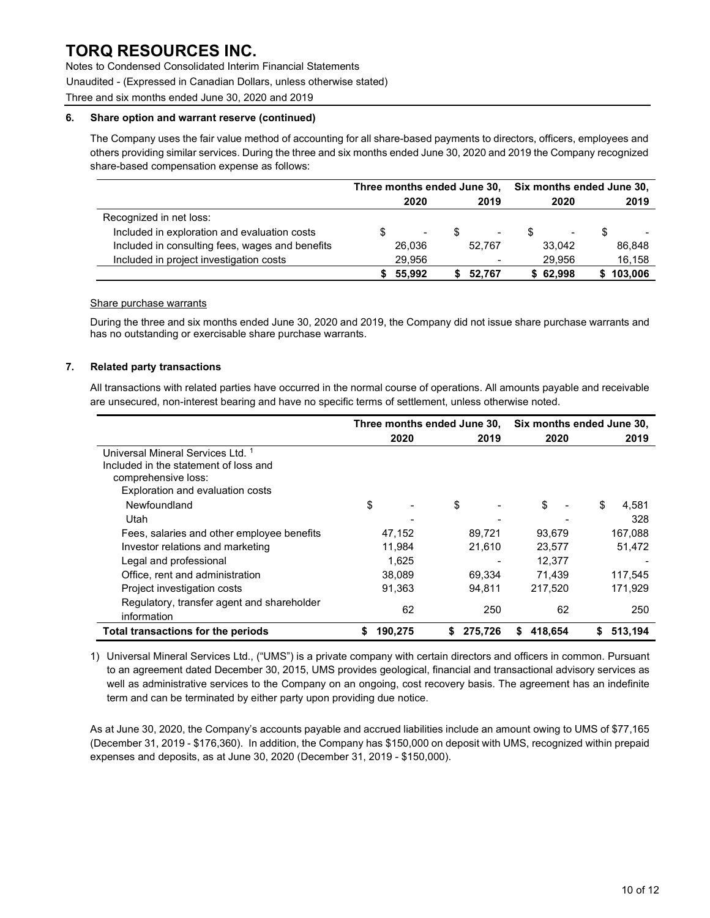Notes to Condensed Consolidated Interim Financial Statements

Unaudited - (Expressed in Canadian Dollars, unless otherwise stated)

Three and six months ended June 30, 2020 and 2019

#### 6. Share option and warrant reserve (continued)

The Company uses the fair value method of accounting for all share-based payments to directors, officers, employees and others providing similar services. During the three and six months ended June 30, 2020 and 2019 the Company recognized share-based compensation expense as follows:

|                                                 | Three months ended June 30, |        |  | Six months ended June 30, |  |          |   |         |
|-------------------------------------------------|-----------------------------|--------|--|---------------------------|--|----------|---|---------|
|                                                 |                             | 2020   |  | 2019                      |  | 2020     |   | 2019    |
| Recognized in net loss:                         |                             |        |  |                           |  |          |   |         |
| Included in exploration and evaluation costs    | S                           |        |  | $\blacksquare$            |  | $\,$     | S |         |
| Included in consulting fees, wages and benefits |                             | 26.036 |  | 52.767                    |  | 33.042   |   | 86,848  |
| Included in project investigation costs         |                             | 29.956 |  |                           |  | 29.956   |   | 16,158  |
|                                                 |                             | 55.992 |  | 52.767                    |  | \$62,998 |   | 103,006 |

#### Share purchase warrants

During the three and six months ended June 30, 2020 and 2019, the Company did not issue share purchase warrants and has no outstanding or exercisable share purchase warrants.

### 7. Related party transactions

All transactions with related parties have occurred in the normal course of operations. All amounts payable and receivable are unsecured, non-interest bearing and have no specific terms of settlement, unless otherwise noted.

|                                            | Three months ended June 30, |         |              | Six months ended June 30, |              |  |
|--------------------------------------------|-----------------------------|---------|--------------|---------------------------|--------------|--|
|                                            |                             | 2020    | 2019         | 2020                      | 2019         |  |
| Universal Mineral Services Ltd. 1          |                             |         |              |                           |              |  |
| Included in the statement of loss and      |                             |         |              |                           |              |  |
| comprehensive loss:                        |                             |         |              |                           |              |  |
| Exploration and evaluation costs           |                             |         |              |                           |              |  |
| Newfoundland                               | \$                          |         | \$           | \$                        | \$<br>4.581  |  |
| Utah                                       |                             |         |              |                           | 328          |  |
| Fees, salaries and other employee benefits |                             | 47,152  | 89.721       | 93.679                    | 167.088      |  |
| Investor relations and marketing           |                             | 11,984  | 21,610       | 23,577                    | 51,472       |  |
| Legal and professional                     |                             | 1.625   |              | 12,377                    |              |  |
| Office, rent and administration            |                             | 38.089  | 69,334       | 71.439                    | 117,545      |  |
| Project investigation costs                |                             | 91,363  | 94,811       | 217,520                   | 171,929      |  |
| Regulatory, transfer agent and shareholder |                             | 62      | 250          | 62                        | 250          |  |
| information                                |                             |         |              |                           |              |  |
| Total transactions for the periods         |                             | 190.275 | 275.726<br>S | 418.654<br>S              | 513.194<br>S |  |

1) Universal Mineral Services Ltd., ("UMS") is a private company with certain directors and officers in common. Pursuant to an agreement dated December 30, 2015, UMS provides geological, financial and transactional advisory services as well as administrative services to the Company on an ongoing, cost recovery basis. The agreement has an indefinite term and can be terminated by either party upon providing due notice.

As at June 30, 2020, the Company's accounts payable and accrued liabilities include an amount owing to UMS of \$77,165 (December 31, 2019 - \$176,360). In addition, the Company has \$150,000 on deposit with UMS, recognized within prepaid expenses and deposits, as at June 30, 2020 (December 31, 2019 - \$150,000).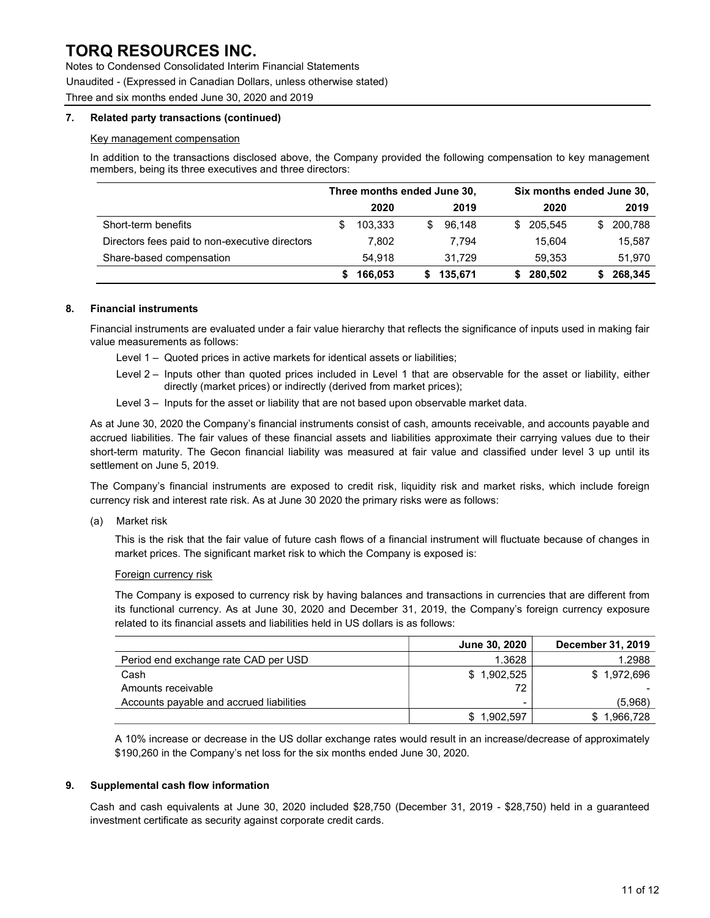Notes to Condensed Consolidated Interim Financial Statements

Unaudited - (Expressed in Canadian Dollars, unless otherwise stated)

Three and six months ended June 30, 2020 and 2019

#### 7. Related party transactions (continued)

#### Key management compensation

In addition to the transactions disclosed above, the Company provided the following compensation to key management members, being its three executives and three directors:

|                                                | Three months ended June 30, |         |   |         | Six months ended June 30, |         |    |         |
|------------------------------------------------|-----------------------------|---------|---|---------|---------------------------|---------|----|---------|
|                                                |                             | 2020    |   | 2019    |                           | 2020    |    | 2019    |
| Short-term benefits                            |                             | 103.333 | S | 96.148  | \$.                       | 205.545 | \$ | 200,788 |
| Directors fees paid to non-executive directors |                             | 7,802   |   | 7.794   |                           | 15.604  |    | 15,587  |
| Share-based compensation                       |                             | 54.918  |   | 31.729  |                           | 59.353  |    | 51,970  |
|                                                |                             | 166.053 |   | 135.671 |                           | 280,502 |    | 268,345 |

### 8. Financial instruments

Financial instruments are evaluated under a fair value hierarchy that reflects the significance of inputs used in making fair value measurements as follows:

- Level 1 Quoted prices in active markets for identical assets or liabilities;
- Level 2 Inputs other than quoted prices included in Level 1 that are observable for the asset or liability, either directly (market prices) or indirectly (derived from market prices);
- Level 3 Inputs for the asset or liability that are not based upon observable market data.

As at June 30, 2020 the Company's financial instruments consist of cash, amounts receivable, and accounts payable and accrued liabilities. The fair values of these financial assets and liabilities approximate their carrying values due to their short-term maturity. The Gecon financial liability was measured at fair value and classified under level 3 up until its settlement on June 5, 2019.

The Company's financial instruments are exposed to credit risk, liquidity risk and market risks, which include foreign currency risk and interest rate risk. As at June 30 2020 the primary risks were as follows:

(a) Market risk

This is the risk that the fair value of future cash flows of a financial instrument will fluctuate because of changes in market prices. The significant market risk to which the Company is exposed is:

#### Foreign currency risk

The Company is exposed to currency risk by having balances and transactions in currencies that are different from its functional currency. As at June 30, 2020 and December 31, 2019, the Company's foreign currency exposure related to its financial assets and liabilities held in US dollars is as follows:

|                                          | June 30, 2020 | December 31, 2019 |
|------------------------------------------|---------------|-------------------|
| Period end exchange rate CAD per USD     | 1.3628        | 1.2988            |
| Cash                                     | \$1,902,525   | \$1,972,696       |
| Amounts receivable                       | 72            |                   |
| Accounts payable and accrued liabilities |               | (5,968)           |
|                                          | \$1,902,597   | .966.728          |

A 10% increase or decrease in the US dollar exchange rates would result in an increase/decrease of approximately \$190,260 in the Company's net loss for the six months ended June 30, 2020.

### 9. Supplemental cash flow information

Cash and cash equivalents at June 30, 2020 included \$28,750 (December 31, 2019 - \$28,750) held in a guaranteed investment certificate as security against corporate credit cards.